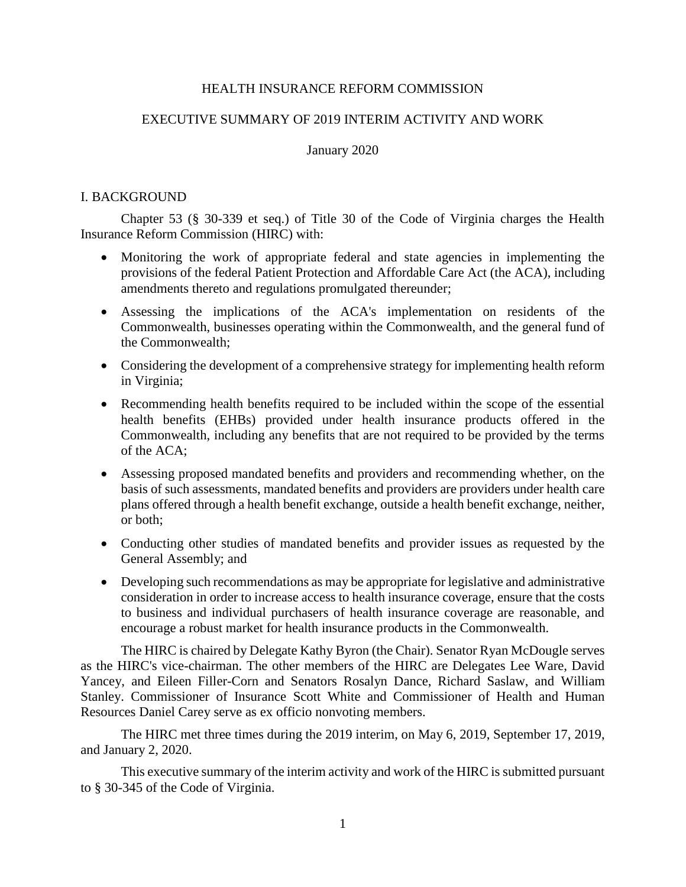## HEALTH INSURANCE REFORM COMMISSION

# EXECUTIVE SUMMARY OF 2019 INTERIM ACTIVITY AND WORK

## January 2020

## I. BACKGROUND

Chapter 53 (§ 30-339 et seq.) of Title 30 of the Code of Virginia charges the Health Insurance Reform Commission (HIRC) with:

- Monitoring the work of appropriate federal and state agencies in implementing the provisions of the federal Patient Protection and Affordable Care Act (the ACA), including amendments thereto and regulations promulgated thereunder;
- Assessing the implications of the ACA's implementation on residents of the Commonwealth, businesses operating within the Commonwealth, and the general fund of the Commonwealth;
- Considering the development of a comprehensive strategy for implementing health reform in Virginia;
- Recommending health benefits required to be included within the scope of the essential health benefits (EHBs) provided under health insurance products offered in the Commonwealth, including any benefits that are not required to be provided by the terms of the ACA;
- Assessing proposed mandated benefits and providers and recommending whether, on the basis of such assessments, mandated benefits and providers are providers under health care plans offered through a health benefit exchange, outside a health benefit exchange, neither, or both;
- Conducting other studies of mandated benefits and provider issues as requested by the General Assembly; and
- Developing such recommendations as may be appropriate for legislative and administrative consideration in order to increase access to health insurance coverage, ensure that the costs to business and individual purchasers of health insurance coverage are reasonable, and encourage a robust market for health insurance products in the Commonwealth.

The HIRC is chaired by Delegate Kathy Byron (the Chair). Senator Ryan McDougle serves as the HIRC's vice-chairman. The other members of the HIRC are Delegates Lee Ware, David Yancey, and Eileen Filler-Corn and Senators Rosalyn Dance, Richard Saslaw, and William Stanley. Commissioner of Insurance Scott White and Commissioner of Health and Human Resources Daniel Carey serve as ex officio nonvoting members.

The HIRC met three times during the 2019 interim, on May 6, 2019, September 17, 2019, and January 2, 2020.

This executive summary of the interim activity and work of the HIRC is submitted pursuant to § 30-345 of the Code of Virginia.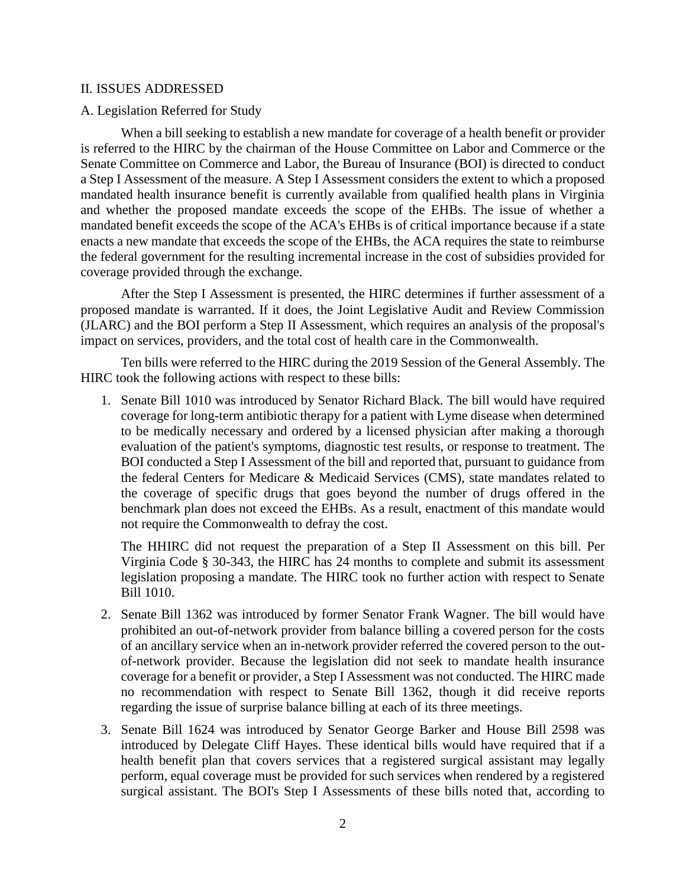## II. ISSUES ADDRESSED

## A. Legislation Referred for Study

When a bill seeking to establish a new mandate for coverage of a health benefit or provider is referred to the HIRC by the chairman of the House Committee on Labor and Commerce or the Senate Committee on Commerce and Labor, the Bureau of Insurance (BOI) is directed to conduct a Step I Assessment of the measure. A Step I Assessment considers the extent to which a proposed mandated health insurance benefit is currently available from qualified health plans in Virginia and whether the proposed mandate exceeds the scope of the EHBs. The issue of whether a mandated benefit exceeds the scope of the ACA's EHBs is of critical importance because if a state enacts a new mandate that exceeds the scope of the EHBs, the ACA requires the state to reimburse the federal government for the resulting incremental increase in the cost of subsidies provided for coverage provided through the exchange.

After the Step I Assessment is presented, the HIRC determines if further assessment of a proposed mandate is warranted. If it does, the Joint Legislative Audit and Review Commission (JLARC) and the BOI perform a Step II Assessment, which requires an analysis of the proposal's impact on services, providers, and the total cost of health care in the Commonwealth.

Ten bills were referred to the HIRC during the 2019 Session of the General Assembly. The HIRC took the following actions with respect to these bills:

1. Senate Bill 1010 was introduced by Senator Richard Black. The bill would have required coverage for long-term antibiotic therapy for a patient with Lyme disease when determined to be medically necessary and ordered by a licensed physician after making a thorough evaluation of the patient's symptoms, diagnostic test results, or response to treatment. The BOI conducted a Step I Assessment of the bill and reported that, pursuant to guidance from the federal Centers for Medicare & Medicaid Services (CMS), state mandates related to the coverage of specific drugs that goes beyond the number of drugs offered in the benchmark plan does not exceed the EHBs. As a result, enactment of this mandate would not require the Commonwealth to defray the cost.

The HHIRC did not request the preparation of a Step II Assessment on this bill. Per Virginia Code § 30-343, the HIRC has 24 months to complete and submit its assessment legislation proposing a mandate. The HIRC took no further action with respect to Senate Bill 1010.

- 2. Senate Bill 1362 was introduced by former Senator Frank Wagner. The bill would have prohibited an out-of-network provider from balance billing a covered person for the costs of an ancillary service when an in-network provider referred the covered person to the outof-network provider. Because the legislation did not seek to mandate health insurance coverage for a benefit or provider, a Step I Assessment was not conducted. The HIRC made no recommendation with respect to Senate Bill 1362, though it did receive reports regarding the issue of surprise balance billing at each of its three meetings.
- 3. Senate Bill 1624 was introduced by Senator George Barker and House Bill 2598 was introduced by Delegate Cliff Hayes. These identical bills would have required that if a health benefit plan that covers services that a registered surgical assistant may legally perform, equal coverage must be provided for such services when rendered by a registered surgical assistant. The BOI's Step I Assessments of these bills noted that, according to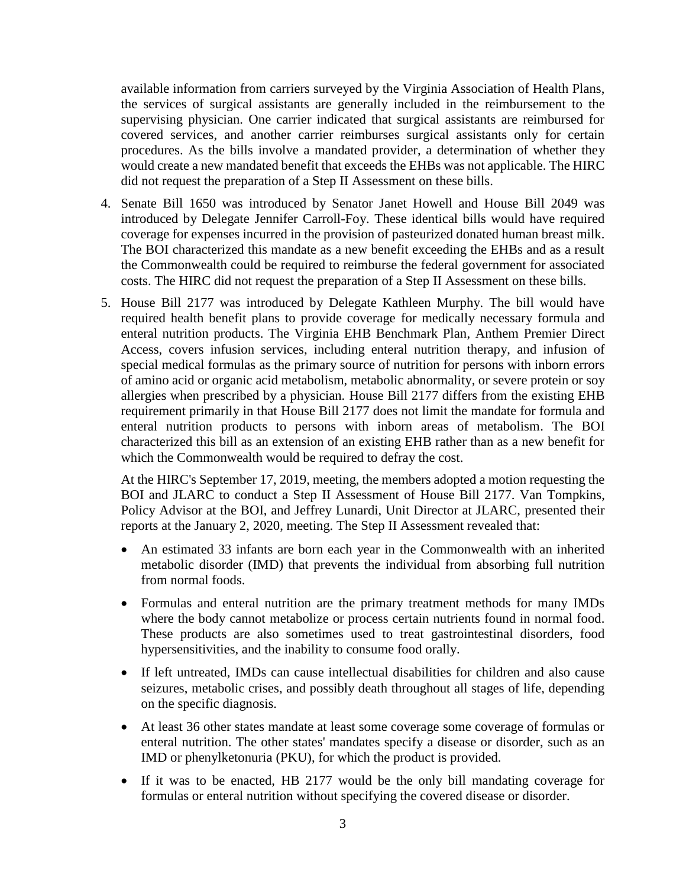available information from carriers surveyed by the Virginia Association of Health Plans, the services of surgical assistants are generally included in the reimbursement to the supervising physician. One carrier indicated that surgical assistants are reimbursed for covered services, and another carrier reimburses surgical assistants only for certain procedures. As the bills involve a mandated provider, a determination of whether they would create a new mandated benefit that exceeds the EHBs was not applicable. The HIRC did not request the preparation of a Step II Assessment on these bills.

- 4. Senate Bill 1650 was introduced by Senator Janet Howell and House Bill 2049 was introduced by Delegate Jennifer Carroll-Foy. These identical bills would have required coverage for expenses incurred in the provision of pasteurized donated human breast milk. The BOI characterized this mandate as a new benefit exceeding the EHBs and as a result the Commonwealth could be required to reimburse the federal government for associated costs. The HIRC did not request the preparation of a Step II Assessment on these bills.
- 5. House Bill 2177 was introduced by Delegate Kathleen Murphy. The bill would have required health benefit plans to provide coverage for medically necessary formula and enteral nutrition products. The Virginia EHB Benchmark Plan, Anthem Premier Direct Access, covers infusion services, including enteral nutrition therapy, and infusion of special medical formulas as the primary source of nutrition for persons with inborn errors of amino acid or organic acid metabolism, metabolic abnormality, or severe protein or soy allergies when prescribed by a physician. House Bill 2177 differs from the existing EHB requirement primarily in that House Bill 2177 does not limit the mandate for formula and enteral nutrition products to persons with inborn areas of metabolism. The BOI characterized this bill as an extension of an existing EHB rather than as a new benefit for which the Commonwealth would be required to defray the cost.

At the HIRC's September 17, 2019, meeting, the members adopted a motion requesting the BOI and JLARC to conduct a Step II Assessment of House Bill 2177. Van Tompkins, Policy Advisor at the BOI, and Jeffrey Lunardi, Unit Director at JLARC, presented their reports at the January 2, 2020, meeting. The Step II Assessment revealed that:

- An estimated 33 infants are born each year in the Commonwealth with an inherited metabolic disorder (IMD) that prevents the individual from absorbing full nutrition from normal foods.
- Formulas and enteral nutrition are the primary treatment methods for many IMDs where the body cannot metabolize or process certain nutrients found in normal food. These products are also sometimes used to treat gastrointestinal disorders, food hypersensitivities, and the inability to consume food orally.
- If left untreated, IMDs can cause intellectual disabilities for children and also cause seizures, metabolic crises, and possibly death throughout all stages of life, depending on the specific diagnosis.
- At least 36 other states mandate at least some coverage some coverage of formulas or enteral nutrition. The other states' mandates specify a disease or disorder, such as an IMD or phenylketonuria (PKU), for which the product is provided.
- If it was to be enacted, HB 2177 would be the only bill mandating coverage for formulas or enteral nutrition without specifying the covered disease or disorder.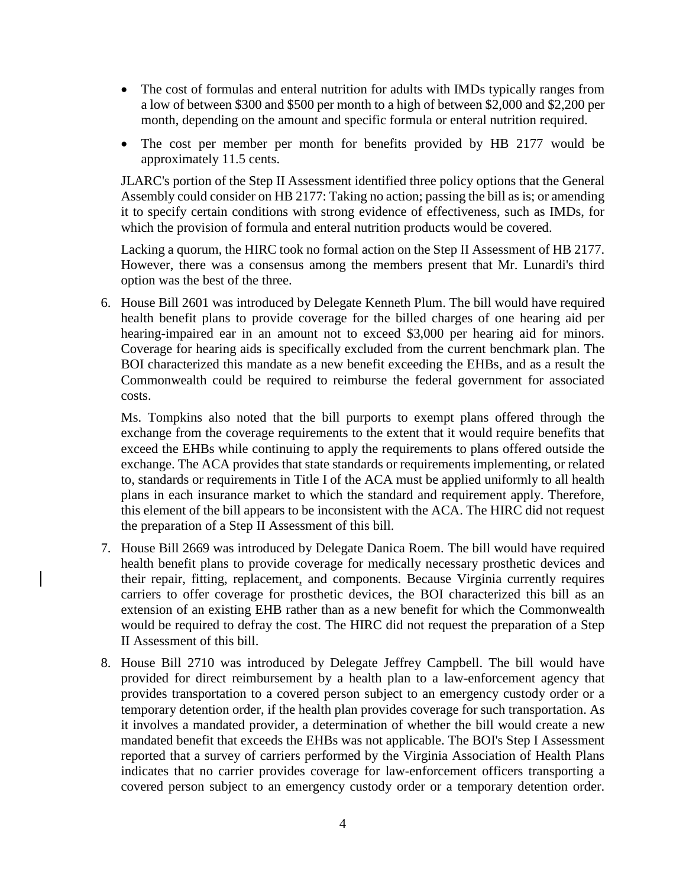- The cost of formulas and enteral nutrition for adults with IMDs typically ranges from a low of between \$300 and \$500 per month to a high of between \$2,000 and \$2,200 per month, depending on the amount and specific formula or enteral nutrition required.
- The cost per member per month for benefits provided by HB 2177 would be approximately 11.5 cents.

JLARC's portion of the Step II Assessment identified three policy options that the General Assembly could consider on HB 2177: Taking no action; passing the bill as is; or amending it to specify certain conditions with strong evidence of effectiveness, such as IMDs, for which the provision of formula and enteral nutrition products would be covered.

Lacking a quorum, the HIRC took no formal action on the Step II Assessment of HB 2177. However, there was a consensus among the members present that Mr. Lunardi's third option was the best of the three.

6. House Bill 2601 was introduced by Delegate Kenneth Plum. The bill would have required health benefit plans to provide coverage for the billed charges of one hearing aid per hearing-impaired ear in an amount not to exceed \$3,000 per hearing aid for minors. Coverage for hearing aids is specifically excluded from the current benchmark plan. The BOI characterized this mandate as a new benefit exceeding the EHBs, and as a result the Commonwealth could be required to reimburse the federal government for associated costs.

Ms. Tompkins also noted that the bill purports to exempt plans offered through the exchange from the coverage requirements to the extent that it would require benefits that exceed the EHBs while continuing to apply the requirements to plans offered outside the exchange. The ACA provides that state standards or requirements implementing, or related to, standards or requirements in Title I of the ACA must be applied uniformly to all health plans in each insurance market to which the standard and requirement apply. Therefore, this element of the bill appears to be inconsistent with the ACA. The HIRC did not request the preparation of a Step II Assessment of this bill.

- 7. House Bill 2669 was introduced by Delegate Danica Roem. The bill would have required health benefit plans to provide coverage for medically necessary prosthetic devices and their repair, fitting, replacement, and components. Because Virginia currently requires carriers to offer coverage for prosthetic devices, the BOI characterized this bill as an extension of an existing EHB rather than as a new benefit for which the Commonwealth would be required to defray the cost. The HIRC did not request the preparation of a Step II Assessment of this bill.
- 8. House Bill 2710 was introduced by Delegate Jeffrey Campbell. The bill would have provided for direct reimbursement by a health plan to a law-enforcement agency that provides transportation to a covered person subject to an emergency custody order or a temporary detention order, if the health plan provides coverage for such transportation. As it involves a mandated provider, a determination of whether the bill would create a new mandated benefit that exceeds the EHBs was not applicable. The BOI's Step I Assessment reported that a survey of carriers performed by the Virginia Association of Health Plans indicates that no carrier provides coverage for law-enforcement officers transporting a covered person subject to an emergency custody order or a temporary detention order.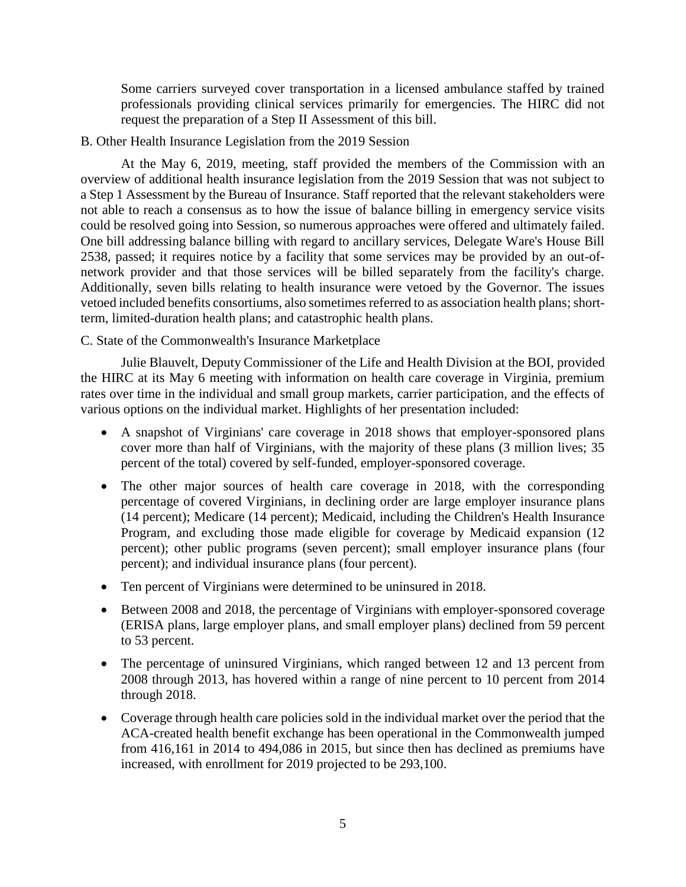Some carriers surveyed cover transportation in a licensed ambulance staffed by trained professionals providing clinical services primarily for emergencies. The HIRC did not request the preparation of a Step II Assessment of this bill.

## B. Other Health Insurance Legislation from the 2019 Session

At the May 6, 2019, meeting, staff provided the members of the Commission with an overview of additional health insurance legislation from the 2019 Session that was not subject to a Step 1 Assessment by the Bureau of Insurance. Staff reported that the relevant stakeholders were not able to reach a consensus as to how the issue of balance billing in emergency service visits could be resolved going into Session, so numerous approaches were offered and ultimately failed. One bill addressing balance billing with regard to ancillary services, Delegate Ware's House Bill 2538, passed; it requires notice by a facility that some services may be provided by an out-ofnetwork provider and that those services will be billed separately from the facility's charge. Additionally, seven bills relating to health insurance were vetoed by the Governor. The issues vetoed included benefits consortiums, also sometimes referred to as association health plans; shortterm, limited-duration health plans; and catastrophic health plans.

# C. State of the Commonwealth's Insurance Marketplace

Julie Blauvelt, Deputy Commissioner of the Life and Health Division at the BOI, provided the HIRC at its May 6 meeting with information on health care coverage in Virginia, premium rates over time in the individual and small group markets, carrier participation, and the effects of various options on the individual market. Highlights of her presentation included:

- A snapshot of Virginians' care coverage in 2018 shows that employer-sponsored plans cover more than half of Virginians, with the majority of these plans (3 million lives; 35 percent of the total) covered by self-funded, employer-sponsored coverage.
- The other major sources of health care coverage in 2018, with the corresponding percentage of covered Virginians, in declining order are large employer insurance plans (14 percent); Medicare (14 percent); Medicaid, including the Children's Health Insurance Program, and excluding those made eligible for coverage by Medicaid expansion (12 percent); other public programs (seven percent); small employer insurance plans (four percent); and individual insurance plans (four percent).
- Ten percent of Virginians were determined to be uninsured in 2018.
- Between 2008 and 2018, the percentage of Virginians with employer-sponsored coverage (ERISA plans, large employer plans, and small employer plans) declined from 59 percent to 53 percent.
- The percentage of uninsured Virginians, which ranged between 12 and 13 percent from 2008 through 2013, has hovered within a range of nine percent to 10 percent from 2014 through 2018.
- Coverage through health care policies sold in the individual market over the period that the ACA-created health benefit exchange has been operational in the Commonwealth jumped from 416,161 in 2014 to 494,086 in 2015, but since then has declined as premiums have increased, with enrollment for 2019 projected to be 293,100.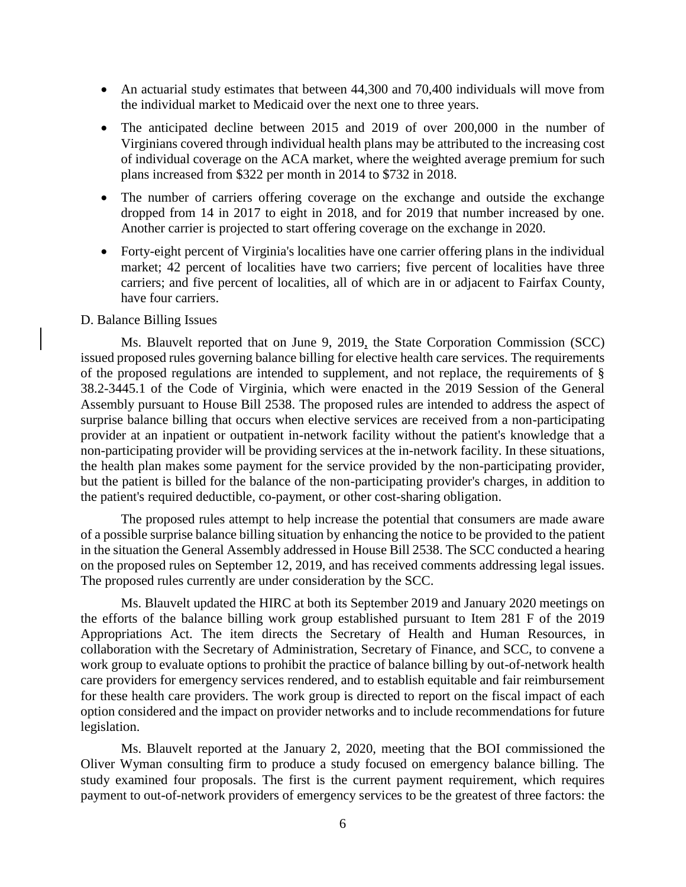- An actuarial study estimates that between 44,300 and 70,400 individuals will move from the individual market to Medicaid over the next one to three years.
- The anticipated decline between 2015 and 2019 of over 200,000 in the number of Virginians covered through individual health plans may be attributed to the increasing cost of individual coverage on the ACA market, where the weighted average premium for such plans increased from \$322 per month in 2014 to \$732 in 2018.
- The number of carriers offering coverage on the exchange and outside the exchange dropped from 14 in 2017 to eight in 2018, and for 2019 that number increased by one. Another carrier is projected to start offering coverage on the exchange in 2020.
- Forty-eight percent of Virginia's localities have one carrier offering plans in the individual market; 42 percent of localities have two carriers; five percent of localities have three carriers; and five percent of localities, all of which are in or adjacent to Fairfax County, have four carriers.

## D. Balance Billing Issues

Ms. Blauvelt reported that on June 9, 2019, the State Corporation Commission (SCC) issued proposed rules governing balance billing for elective health care services. The requirements of the proposed regulations are intended to supplement, and not replace, the requirements of § 38.2-3445.1 of the Code of Virginia, which were enacted in the 2019 Session of the General Assembly pursuant to House Bill 2538. The proposed rules are intended to address the aspect of surprise balance billing that occurs when elective services are received from a non-participating provider at an inpatient or outpatient in-network facility without the patient's knowledge that a non-participating provider will be providing services at the in-network facility. In these situations, the health plan makes some payment for the service provided by the non-participating provider, but the patient is billed for the balance of the non-participating provider's charges, in addition to the patient's required deductible, co-payment, or other cost-sharing obligation.

The proposed rules attempt to help increase the potential that consumers are made aware of a possible surprise balance billing situation by enhancing the notice to be provided to the patient in the situation the General Assembly addressed in House Bill 2538. The SCC conducted a hearing on the proposed rules on September 12, 2019, and has received comments addressing legal issues. The proposed rules currently are under consideration by the SCC.

Ms. Blauvelt updated the HIRC at both its September 2019 and January 2020 meetings on the efforts of the balance billing work group established pursuant to Item 281 F of the 2019 Appropriations Act. The item directs the Secretary of Health and Human Resources, in collaboration with the Secretary of Administration, Secretary of Finance, and SCC, to convene a work group to evaluate options to prohibit the practice of balance billing by out-of-network health care providers for emergency services rendered, and to establish equitable and fair reimbursement for these health care providers. The work group is directed to report on the fiscal impact of each option considered and the impact on provider networks and to include recommendations for future legislation.

Ms. Blauvelt reported at the January 2, 2020, meeting that the BOI commissioned the Oliver Wyman consulting firm to produce a study focused on emergency balance billing. The study examined four proposals. The first is the current payment requirement, which requires payment to out-of-network providers of emergency services to be the greatest of three factors: the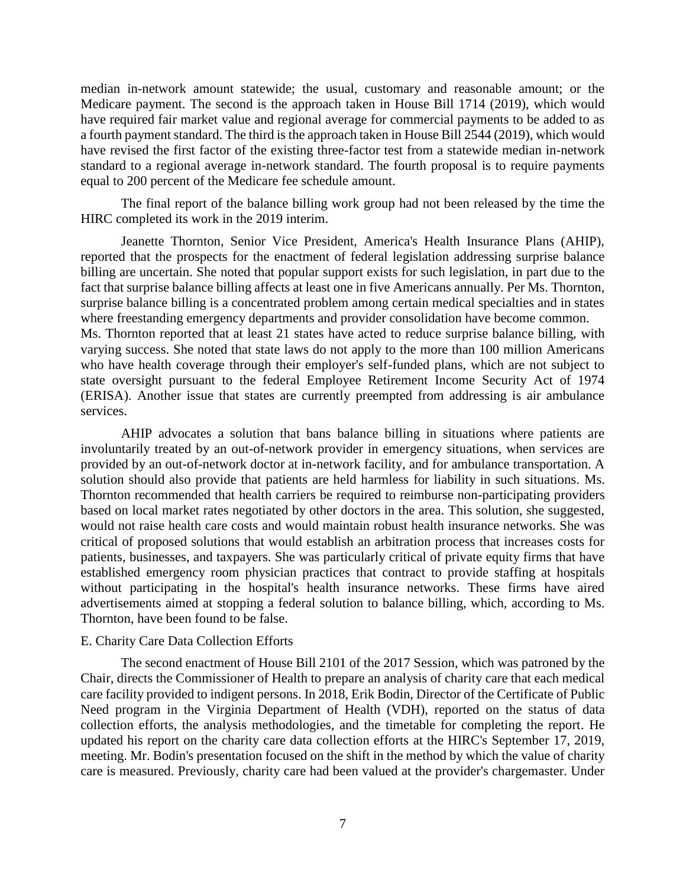median in-network amount statewide; the usual, customary and reasonable amount; or the Medicare payment. The second is the approach taken in House Bill 1714 (2019), which would have required fair market value and regional average for commercial payments to be added to as a fourth payment standard. The third is the approach taken in House Bill 2544 (2019), which would have revised the first factor of the existing three-factor test from a statewide median in-network standard to a regional average in-network standard. The fourth proposal is to require payments equal to 200 percent of the Medicare fee schedule amount.

The final report of the balance billing work group had not been released by the time the HIRC completed its work in the 2019 interim.

Jeanette Thornton, Senior Vice President, America's Health Insurance Plans (AHIP), reported that the prospects for the enactment of federal legislation addressing surprise balance billing are uncertain. She noted that popular support exists for such legislation, in part due to the fact that surprise balance billing affects at least one in five Americans annually. Per Ms. Thornton, surprise balance billing is a concentrated problem among certain medical specialties and in states where freestanding emergency departments and provider consolidation have become common. Ms. Thornton reported that at least 21 states have acted to reduce surprise balance billing, with varying success. She noted that state laws do not apply to the more than 100 million Americans who have health coverage through their employer's self-funded plans, which are not subject to state oversight pursuant to the federal Employee Retirement Income Security Act of 1974 (ERISA). Another issue that states are currently preempted from addressing is air ambulance services.

AHIP advocates a solution that bans balance billing in situations where patients are involuntarily treated by an out-of-network provider in emergency situations, when services are provided by an out-of-network doctor at in-network facility, and for ambulance transportation. A solution should also provide that patients are held harmless for liability in such situations. Ms. Thornton recommended that health carriers be required to reimburse non-participating providers based on local market rates negotiated by other doctors in the area. This solution, she suggested, would not raise health care costs and would maintain robust health insurance networks. She was critical of proposed solutions that would establish an arbitration process that increases costs for patients, businesses, and taxpayers. She was particularly critical of private equity firms that have established emergency room physician practices that contract to provide staffing at hospitals without participating in the hospital's health insurance networks. These firms have aired advertisements aimed at stopping a federal solution to balance billing, which, according to Ms. Thornton, have been found to be false.

### E. Charity Care Data Collection Efforts

The second enactment of House Bill 2101 of the 2017 Session, which was patroned by the Chair, directs the Commissioner of Health to prepare an analysis of charity care that each medical care facility provided to indigent persons. In 2018, Erik Bodin, Director of the Certificate of Public Need program in the Virginia Department of Health (VDH), reported on the status of data collection efforts, the analysis methodologies, and the timetable for completing the report. He updated his report on the charity care data collection efforts at the HIRC's September 17, 2019, meeting. Mr. Bodin's presentation focused on the shift in the method by which the value of charity care is measured. Previously, charity care had been valued at the provider's chargemaster. Under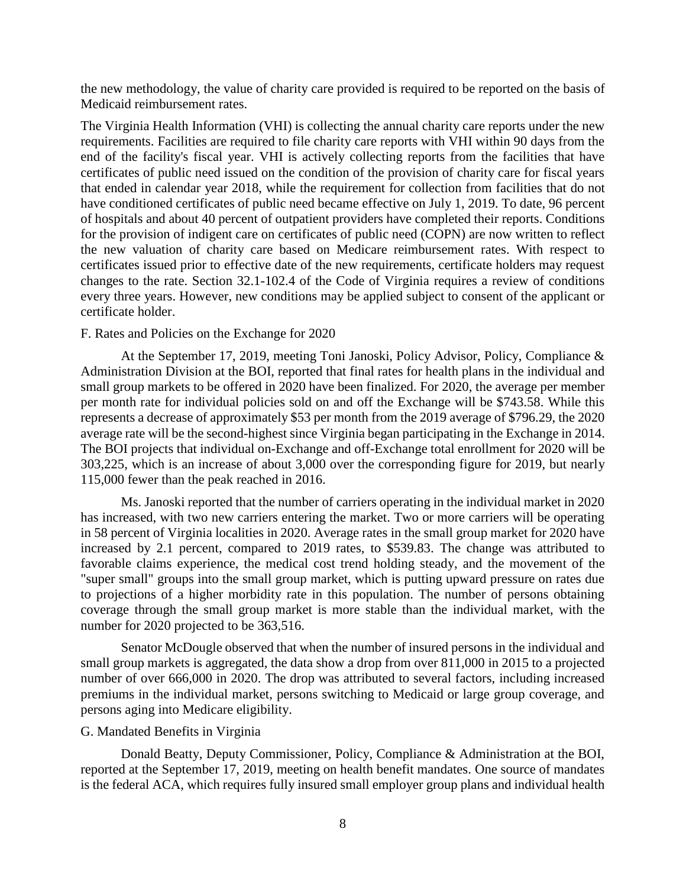the new methodology, the value of charity care provided is required to be reported on the basis of Medicaid reimbursement rates.

The Virginia Health Information (VHI) is collecting the annual charity care reports under the new requirements. Facilities are required to file charity care reports with VHI within 90 days from the end of the facility's fiscal year. VHI is actively collecting reports from the facilities that have certificates of public need issued on the condition of the provision of charity care for fiscal years that ended in calendar year 2018, while the requirement for collection from facilities that do not have conditioned certificates of public need became effective on July 1, 2019. To date, 96 percent of hospitals and about 40 percent of outpatient providers have completed their reports. Conditions for the provision of indigent care on certificates of public need (COPN) are now written to reflect the new valuation of charity care based on Medicare reimbursement rates. With respect to certificates issued prior to effective date of the new requirements, certificate holders may request changes to the rate. Section 32.1-102.4 of the Code of Virginia requires a review of conditions every three years. However, new conditions may be applied subject to consent of the applicant or certificate holder.

### F. Rates and Policies on the Exchange for 2020

At the September 17, 2019, meeting Toni Janoski, Policy Advisor, Policy, Compliance & Administration Division at the BOI, reported that final rates for health plans in the individual and small group markets to be offered in 2020 have been finalized. For 2020, the average per member per month rate for individual policies sold on and off the Exchange will be \$743.58. While this represents a decrease of approximately \$53 per month from the 2019 average of \$796.29, the 2020 average rate will be the second-highest since Virginia began participating in the Exchange in 2014. The BOI projects that individual on-Exchange and off-Exchange total enrollment for 2020 will be 303,225, which is an increase of about 3,000 over the corresponding figure for 2019, but nearly 115,000 fewer than the peak reached in 2016.

Ms. Janoski reported that the number of carriers operating in the individual market in 2020 has increased, with two new carriers entering the market. Two or more carriers will be operating in 58 percent of Virginia localities in 2020. Average rates in the small group market for 2020 have increased by 2.1 percent, compared to 2019 rates, to \$539.83. The change was attributed to favorable claims experience, the medical cost trend holding steady, and the movement of the "super small" groups into the small group market, which is putting upward pressure on rates due to projections of a higher morbidity rate in this population. The number of persons obtaining coverage through the small group market is more stable than the individual market, with the number for 2020 projected to be 363,516.

Senator McDougle observed that when the number of insured persons in the individual and small group markets is aggregated, the data show a drop from over 811,000 in 2015 to a projected number of over 666,000 in 2020. The drop was attributed to several factors, including increased premiums in the individual market, persons switching to Medicaid or large group coverage, and persons aging into Medicare eligibility.

#### G. Mandated Benefits in Virginia

Donald Beatty, Deputy Commissioner, Policy, Compliance & Administration at the BOI, reported at the September 17, 2019, meeting on health benefit mandates. One source of mandates is the federal ACA, which requires fully insured small employer group plans and individual health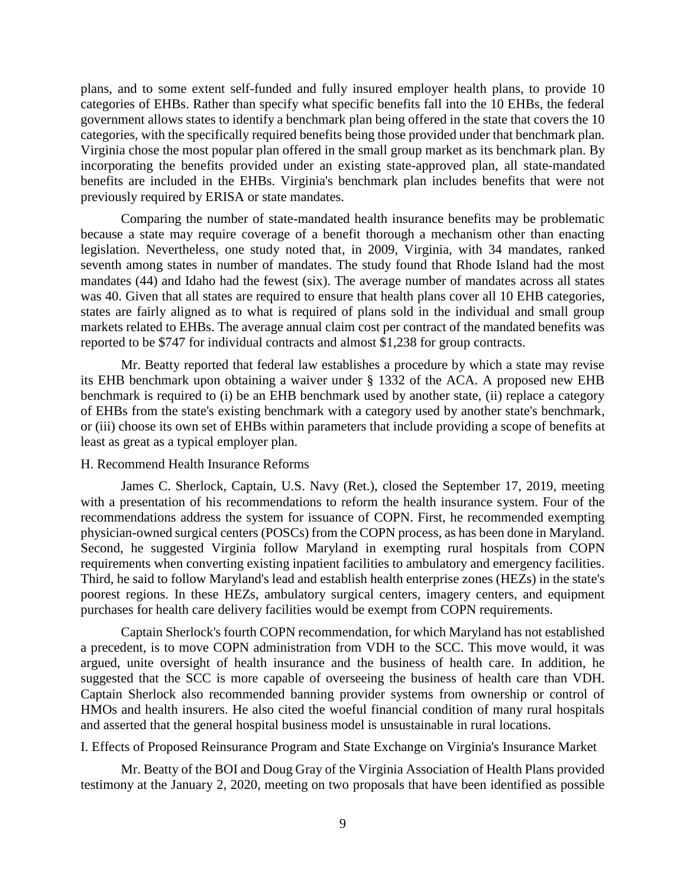plans, and to some extent self-funded and fully insured employer health plans, to provide 10 categories of EHBs. Rather than specify what specific benefits fall into the 10 EHBs, the federal government allows states to identify a benchmark plan being offered in the state that covers the 10 categories, with the specifically required benefits being those provided under that benchmark plan. Virginia chose the most popular plan offered in the small group market as its benchmark plan. By incorporating the benefits provided under an existing state-approved plan, all state-mandated benefits are included in the EHBs. Virginia's benchmark plan includes benefits that were not previously required by ERISA or state mandates.

Comparing the number of state-mandated health insurance benefits may be problematic because a state may require coverage of a benefit thorough a mechanism other than enacting legislation. Nevertheless, one study noted that, in 2009, Virginia, with 34 mandates, ranked seventh among states in number of mandates. The study found that Rhode Island had the most mandates (44) and Idaho had the fewest (six). The average number of mandates across all states was 40. Given that all states are required to ensure that health plans cover all 10 EHB categories, states are fairly aligned as to what is required of plans sold in the individual and small group markets related to EHBs. The average annual claim cost per contract of the mandated benefits was reported to be \$747 for individual contracts and almost \$1,238 for group contracts.

Mr. Beatty reported that federal law establishes a procedure by which a state may revise its EHB benchmark upon obtaining a waiver under § 1332 of the ACA. A proposed new EHB benchmark is required to (i) be an EHB benchmark used by another state, (ii) replace a category of EHBs from the state's existing benchmark with a category used by another state's benchmark, or (iii) choose its own set of EHBs within parameters that include providing a scope of benefits at least as great as a typical employer plan.

## H. Recommend Health Insurance Reforms

James C. Sherlock, Captain, U.S. Navy (Ret.), closed the September 17, 2019, meeting with a presentation of his recommendations to reform the health insurance system. Four of the recommendations address the system for issuance of COPN. First, he recommended exempting physician-owned surgical centers (POSCs) from the COPN process, as has been done in Maryland. Second, he suggested Virginia follow Maryland in exempting rural hospitals from COPN requirements when converting existing inpatient facilities to ambulatory and emergency facilities. Third, he said to follow Maryland's lead and establish health enterprise zones (HEZs) in the state's poorest regions. In these HEZs, ambulatory surgical centers, imagery centers, and equipment purchases for health care delivery facilities would be exempt from COPN requirements.

Captain Sherlock's fourth COPN recommendation, for which Maryland has not established a precedent, is to move COPN administration from VDH to the SCC. This move would, it was argued, unite oversight of health insurance and the business of health care. In addition, he suggested that the SCC is more capable of overseeing the business of health care than VDH. Captain Sherlock also recommended banning provider systems from ownership or control of HMOs and health insurers. He also cited the woeful financial condition of many rural hospitals and asserted that the general hospital business model is unsustainable in rural locations.

I. Effects of Proposed Reinsurance Program and State Exchange on Virginia's Insurance Market

Mr. Beatty of the BOI and Doug Gray of the Virginia Association of Health Plans provided testimony at the January 2, 2020, meeting on two proposals that have been identified as possible